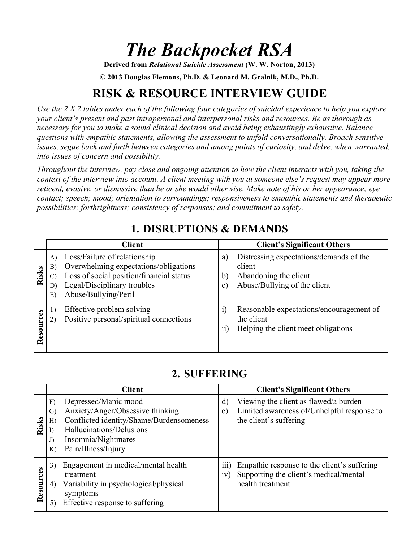# *The Backpocket RSA*

**Derived from** *Relational Suicide Assessment* **(W. W. Norton, 2013)**

**© 2013 Douglas Flemons, Ph.D. & Leonard M. Gralnik, M.D., Ph.D.**

## **RISK & RESOURCE INTERVIEW GUIDE**

*Use the 2 X 2 tables under each of the following four categories of suicidal experience to help you explore your client's present and past intrapersonal and interpersonal risks and resources. Be as thorough as necessary for you to make a sound clinical decision and avoid being exhaustingly exhaustive. Balance questions with empathic statements, allowing the assessment to unfold conversationally. Broach sensitive issues, segue back and forth between categories and among points of curiosity, and delve, when warranted, into issues of concern and possibility.*

*Throughout the interview, pay close and ongoing attention to how the client interacts with you, taking the context of the interview into account. A client meeting with you at someone else's request may appear more reticent, evasive, or dismissive than he or she would otherwise. Make note of his or her appearance; eye contact; speech; mood; orientation to surroundings; responsiveness to empathic statements and therapeutic possibilities; forthrightness; consistency of responses; and commitment to safety.*

|           | <b>Client</b>                                                                                                                                                                                                     | <b>Client's Significant Others</b>                                                                                                                 |
|-----------|-------------------------------------------------------------------------------------------------------------------------------------------------------------------------------------------------------------------|----------------------------------------------------------------------------------------------------------------------------------------------------|
| Risks     | Loss/Failure of relationship<br>A)<br>Overwhelming expectations/obligations<br>B)<br>Loss of social position/financial status<br>$\mathcal{C}$<br>Legal/Disciplinary troubles<br>D)<br>Abuse/Bullying/Peril<br>E) | Distressing expectations/demands of the<br>a)<br>client<br>Abandoning the client<br>$\mathbf{b}$<br>Abuse/Bullying of the client<br>$\mathbf{c}$ ) |
| Resources | Effective problem solving<br>Positive personal/spiritual connections                                                                                                                                              | Reasonable expectations/encouragement of<br>$\left( i\right)$<br>the client<br>$\overline{ii}$<br>Helping the client meet obligations              |

## **1. DISRUPTIONS & DEMANDS**

#### **2. SUFFERING**

|           | <b>Client</b>                                                                                                                                                                                                           | <b>Client's Significant Others</b>                                                                                                  |
|-----------|-------------------------------------------------------------------------------------------------------------------------------------------------------------------------------------------------------------------------|-------------------------------------------------------------------------------------------------------------------------------------|
| Risks     | Depressed/Manic mood<br>F)<br>Anxiety/Anger/Obsessive thinking<br>$\mathcal{G}$<br>Conflicted identity/Shame/Burdensomeness<br>H)<br>Hallucinations/Delusions<br>Insomnia/Nightmares<br>J)<br>Pain/Illness/Injury<br>K) | Viewing the client as flawed/a burden<br>d)<br>Limited awareness of/Unhelpful response to<br>$\epsilon$ )<br>the client's suffering |
| Resources | Engagement in medical/mental health<br>3)<br>treatment<br>Variability in psychological/physical<br>4)<br>symptoms<br>Effective response to suffering<br>5)                                                              | Empathic response to the client's suffering<br>111)<br>Supporting the client's medical/mental<br>1V)<br>health treatment            |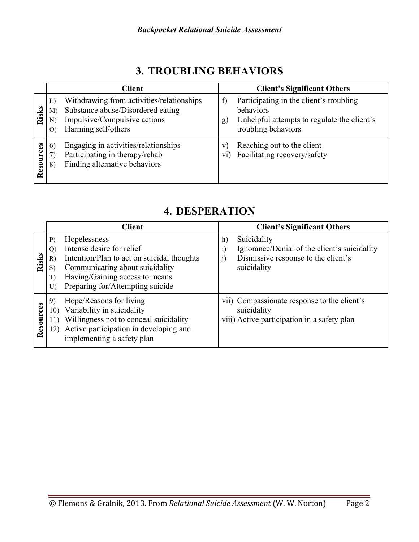|           | <b>Client</b>                                                                                                                                                            | <b>Client's Significant Others</b>                                                                                                               |
|-----------|--------------------------------------------------------------------------------------------------------------------------------------------------------------------------|--------------------------------------------------------------------------------------------------------------------------------------------------|
| Risks     | Withdrawing from activities/relationships<br>L)<br>Substance abuse/Disordered eating<br>M<br>Impulsive/Compulsive actions<br>N)<br>Harming self/others<br>$\overline{O}$ | Participating in the client's troubling<br>$\mathbf{t}$<br>behaviors<br>Unhelpful attempts to regulate the client's<br>g)<br>troubling behaviors |
| Resources | Engaging in activities/relationships<br>6)<br>Participating in therapy/rehab<br>Finding alternative behaviors<br>8)                                                      | Reaching out to the client<br>V<br>Facilitating recovery/safety<br>V1)                                                                           |

### **3. TROUBLING BEHAVIORS**

| <b>4. DESPERATION</b> |
|-----------------------|
|-----------------------|

|           | <b>Client</b>                                                                                                                                                                                                                                  | <b>Client's Significant Others</b>                                                                                                  |
|-----------|------------------------------------------------------------------------------------------------------------------------------------------------------------------------------------------------------------------------------------------------|-------------------------------------------------------------------------------------------------------------------------------------|
| Risks     | Hopelessness<br>P)<br>Intense desire for relief<br>Q)<br>Intention/Plan to act on suicidal thoughts<br>R)<br>Communicating about suicidality<br>S)<br>Having/Gaining access to means<br>T)<br>Preparing for/Attempting suicide<br>$\mathbf{U}$ | Suicidality<br>h)<br>Ignorance/Denial of the client's suicidality<br>i)<br>Dismissive response to the client's<br>j)<br>suicidality |
| Resources | Hope/Reasons for living<br>9)<br>Variability in suicidality<br>10)<br>Willingness not to conceal suicidality<br>11)<br>Active participation in developing and<br>12)<br>implementing a safety plan                                             | vii) Compassionate response to the client's<br>suicidality<br>viii) Active participation in a safety plan                           |